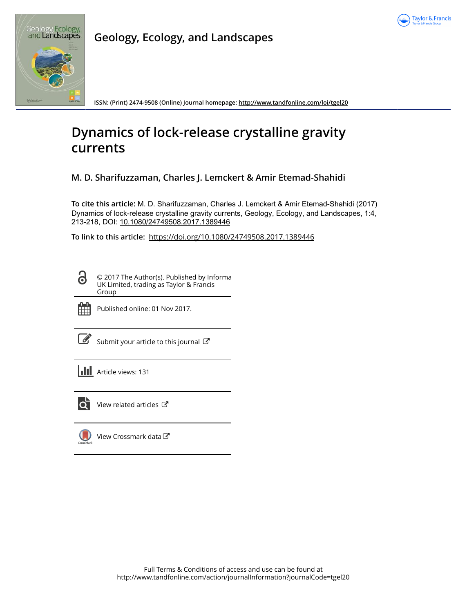



**Geology, Ecology, and Landscapes**

**ISSN: (Print) 2474-9508 (Online) Journal homepage:<http://www.tandfonline.com/loi/tgel20>**

# **Dynamics of lock-release crystalline gravity currents**

**M. D. Sharifuzzaman, Charles J. Lemckert & Amir Etemad-Shahidi**

**To cite this article:** M. D. Sharifuzzaman, Charles J. Lemckert & Amir Etemad-Shahidi (2017) Dynamics of lock-release crystalline gravity currents, Geology, Ecology, and Landscapes, 1:4, 213-218, DOI: [10.1080/24749508.2017.1389446](http://www.tandfonline.com/action/showCitFormats?doi=10.1080/24749508.2017.1389446)

**To link to this article:** <https://doi.org/10.1080/24749508.2017.1389446>

© 2017 The Author(s). Published by Informa UK Limited, trading as Taylor & Francis Group



 $\partial$ 

Published online: 01 Nov 2017.

[Submit your article to this journal](http://www.tandfonline.com/action/authorSubmission?journalCode=tgel20&show=instructions)  $\mathbb{Z}$ 

**III** Article views: 131



View related articles

[View Crossmark data](http://crossmark.crossref.org/dialog/?doi=10.1080/24749508.2017.1389446&domain=pdf&date_stamp=2017-11-01)<sup>C</sup>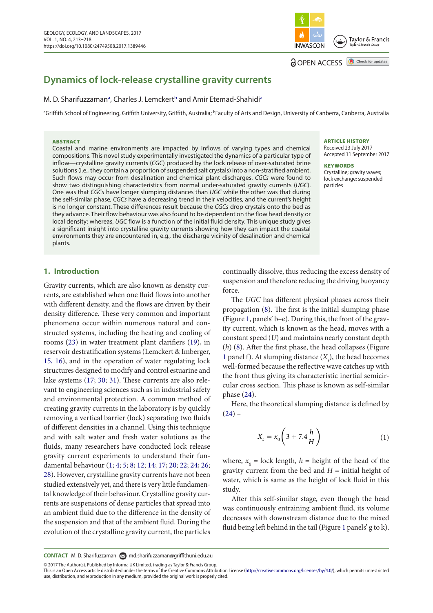# **Dynamics of lock-release crystalline gravity currents**

## M. D. Sh[a](#page-1-0)rifuzzaman<sup>a</sup>, Charles J. Lemckert<sup>b</sup> and Amir Etemad-Shahidi<sup>a</sup>

<span id="page-1-1"></span><span id="page-1-0"></span>ªGriffith School of Engineering, Griffith University, Griffith, Australia; <sup>b</sup>Faculty of Arts and Design, University of Canberra, Canberra, Australia

#### ABSTRACT

Coastal and marine environments are impacted by inflows of varying types and chemical compositions. This novel study experimentally investigated the dynamics of a particular type of inflow—crystalline gravity currents (*CGC*) produced by the lock release of over-saturated brine solutions (i.e*.,* they contain a proportion of suspended salt crystals) into a non-stratified ambient. Such flows may occur from desalination and chemical plant discharges. *CGCs* were found to show two distinguishing characteristics from normal under-saturated gravity currents (*UGC*). One was that *CGCs* have longer slumping distances than *UGC* while the other was that during the self-similar phase, *CGCs* have a decreasing trend in their velocities, and the current's height is no longer constant. These differences result because the *CGCs* drop crystals onto the bed as they advance. Their flow behaviour was also found to be dependent on the flow head density or local density; whereas, *UGC* flow is a function of the initial fluid density. This unique study gives a significant insight into crystalline gravity currents showing how they can impact the coastal environments they are encountered in, e.g., the discharge vicinity of desalination and chemical plants.

#### ARTICLE HISTORY Received 23 July 2017

Accepted 11 September 2017

Taylor & Francis

Check for updates

#### **KEYWORDS**

Crystalline; gravity waves; lock exchange; suspended particles

#### **1. Introduction**

<span id="page-1-8"></span>Gravity currents, which are also known as density currents, are established when one fluid flows into another with different density, and the flows are driven by their density difference. These very common and important phenomena occur within numerous natural and constructed systems, including the heating and cooling of rooms ([23\)](#page-6-0) in water treatment plant clarifiers [\(19](#page-6-1)), in reservoir destratification systems (Lemckert & Imberger, [15, 16\)](#page-6-2), and in the operation of water regulating lock structures designed to modify and control estuarine and lake systems [\(17](#page-6-3); [30;](#page-6-4) [31](#page-6-5)). These currents are also relevant to engineering sciences such as in industrial safety and environmental protection. A common method of creating gravity currents in the laboratory is by quickly removing a vertical barrier (lock) separating two fluids of different densities in a channel. Using this technique and with salt water and fresh water solutions as the fluids, many researchers have conducted lock release gravity current experiments to understand their fundamental behaviour ([1;](#page-6-6) [4](#page-6-7); [5](#page-6-8); [8;](#page-6-9) [12](#page-6-10); [14](#page-6-11); [17;](#page-6-3) [20;](#page-6-12) [22](#page-6-13); [24](#page-6-14); [26;](#page-6-15) [28](#page-6-16)). However, crystalline gravity currents have not been studied extensively yet, and there is very little fundamental knowledge of their behaviour. Crystalline gravity currents are suspensions of dense particles that spread into an ambient fluid due to the difference in the density of the suspension and that of the ambient fluid. During the evolution of the crystalline gravity current, the particles

continually dissolve, thus reducing the excess density of suspension and therefore reducing the driving buoyancy force.

**INWASCON** 

**a** OPEN ACCESS

<span id="page-1-5"></span>The *UGC* has different physical phases across their propagation ([8\)](#page-6-9). The first is the initial slumping phase (Figure [1](#page-2-0), panels' b–e). During this, the front of the gravity current, which is known as the head, moves with a constant speed (*U*) and maintains nearly constant depth (*h*) ([8\)](#page-6-9). After the first phase, the head collapses (Figure [1](#page-2-0) panel f). At slumping distance  $(X<sub>s</sub>)$ , the head becomes well-formed because the reflective wave catches up with the front thus giving its characteristic inertial semicircular cross section. This phase is known as self-similar phase [\(24](#page-6-14)).

<span id="page-1-13"></span><span id="page-1-12"></span><span id="page-1-4"></span>Here, the theoretical slumping distance is defined by  $(24)$  $(24)$  –

<span id="page-1-10"></span><span id="page-1-9"></span><span id="page-1-7"></span><span id="page-1-6"></span><span id="page-1-2"></span>
$$
X_s = x_0 \left(3 + 7.4 \frac{h}{H}\right) \tag{1}
$$

<span id="page-1-18"></span><span id="page-1-17"></span><span id="page-1-16"></span><span id="page-1-15"></span><span id="page-1-14"></span><span id="page-1-3"></span>where,  $x_0$  = lock length,  $h$  = height of the head of the gravity current from the bed and  $H =$  initial height of water, which is same as the height of lock fluid in this study.

After this self-similar stage, even though the head was continuously entraining ambient fluid, its volume decreases with downstream distance due to the mixed fluid being left behind in the tail (Figure [1](#page-2-0) panels' g to k).

© 2017 The Author(s). Published by Informa UK Limited, trading as Taylor & Francis Group.

<span id="page-1-11"></span>**CONTACT** M. D. Sharifuzzaman **۞** [md.sharifuzzaman@griffithuni.edu.au](mailto: md.sharifuzzaman@griffithuni.edu.au)

This is an Open Access article distributed under the terms of the Creative Commons Attribution License (<http://creativecommons.org/licenses/by/4.0/>), which permits unrestricted use, distribution, and reproduction in any medium, provided the original work is properly cited.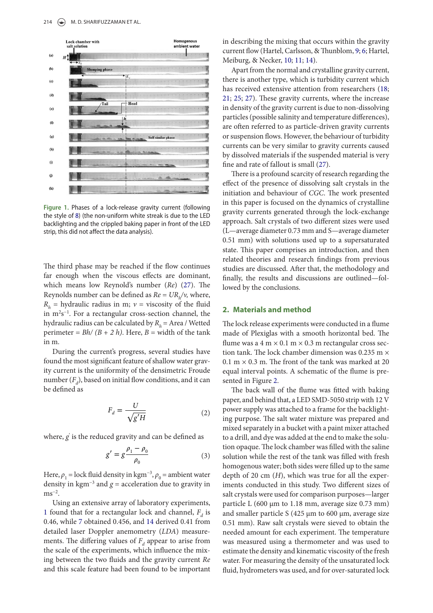

<span id="page-2-0"></span>**Figure 1.**  Phases of a lock-release gravity current (following the style of [8](#page-6-9)) (the non-uniform white streak is due to the LED backlighting and the crippled baking paper in front of the LED strip, this did not affect the data analysis).

The third phase may be reached if the flow continues far enough when the viscous effects are dominant, which means low Reynold's number (*Re*) [\(27](#page-6-17)). The Reynolds number can be defined as *Re* = *URh /ν,* where,  $R_h$  = hydraulic radius in m; *ν* = viscosity of the fluid in m2 s−1. For a rectangular cross-section channel, the hydraulic radius can be calculated by *Rh* = Area / Wetted perimeter =  $Bh/(B + 2 h)$ . Here,  $B$  = width of the tank in m.

During the current's progress, several studies have found the most significant feature of shallow water gravity current is the uniformity of the densimetric Froude number  $(F_d)$ , based on initial flow conditions, and it can be defined as

$$
F_d = \frac{U}{\sqrt{g'H}}\tag{2}
$$

<span id="page-2-1"></span>where, *g*′ is the reduced gravity and can be defined as

$$
g' = g \frac{\rho_1 - \rho_0}{\rho_0} \tag{3}
$$

Here,  $\rho_1$  = lock fluid density in kgm<sup>-3</sup>,  $\rho_0$  = ambient water density in kgm<sup>-3</sup> and  $g =$  acceleration due to gravity in  $\text{ms}^{-2}$ .

<span id="page-2-7"></span>Using an extensive array of laboratory experiments, [1](#page-6-6) found that for a rectangular lock and channel,  $F_d$  is 0.46, while [7](#page-6-18) obtained 0.456, and [14](#page-6-11) derived 0.41 from detailed laser Doppler anemometry (*LDA*) measurements. The differing values of  $F_d$  appear to arise from the scale of the experiments, which influence the mixing between the two fluids and the gravity current *Re* and this scale feature had been found to be important

<span id="page-2-8"></span><span id="page-2-6"></span>in describing the mixing that occurs within the gravity current flow (Hartel, Carlsson, & Thunblom, [9;](#page-6-19) [6;](#page-6-20) Hartel, Meiburg, & Necker, [10;](#page-6-21) [11;](#page-6-22) [14](#page-6-11)).

<span id="page-2-10"></span><span id="page-2-9"></span><span id="page-2-4"></span><span id="page-2-3"></span><span id="page-2-2"></span>Apart from the normal and crystalline gravity current, there is another type, which is turbidity current which has received extensive attention from researchers ([18;](#page-6-23) [21](#page-6-24); [25;](#page-6-25) [27](#page-6-17)). These gravity currents, where the increase in density of the gravity current is due to non-dissolving particles (possible salinity and temperature differences), are often referred to as particle-driven gravity currents or suspension flows. However, the behaviour of turbidity currents can be very similar to gravity currents caused by dissolved materials if the suspended material is very fine and rate of fallout is small [\(27](#page-6-17)).

There is a profound scarcity of research regarding the effect of the presence of dissolving salt crystals in the initiation and behaviour of *CGC*. The work presented in this paper is focused on the dynamics of crystalline gravity currents generated through the lock-exchange approach. Salt crystals of two different sizes were used (L—average diameter 0.73 mm and S—average diameter 0.51 mm) with solutions used up to a supersaturated state. This paper comprises an introduction, and then related theories and research findings from previous studies are discussed. After that, the methodology and finally, the results and discussions are outlined—followed by the conclusions.

#### <span id="page-2-5"></span>**2. Materials and method**

The lock release experiments were conducted in a flume made of Plexiglas with a smooth horizontal bed. The flume was a  $4 \text{ m} \times 0.1 \text{ m} \times 0.3 \text{ m}$  rectangular cross section tank. The lock chamber dimension was 0.235 m × 0.1 m  $\times$  0.3 m. The front of the tank was marked at 20 equal interval points. A schematic of the flume is presented in Figure [2](#page-3-0).

The back wall of the flume was fitted with baking paper, and behind that, a LED SMD-5050 strip with 12 V power supply was attached to a frame for the backlighting purpose. The salt water mixture was prepared and mixed separately in a bucket with a paint mixer attached to a drill, and dye was added at the end to make the solution opaque. The lock chamber was filled with the saline solution while the rest of the tank was filled with fresh homogenous water; both sides were filled up to the same depth of 20 cm (*H*), which was true for all the experiments conducted in this study. Two different sizes of salt crystals were used for comparison purposes—larger particle L (600 μm to 1.18 mm, average size 0.73 mm) and smaller particle S (425 μm to 600 μm, average size 0.51 mm). Raw salt crystals were sieved to obtain the needed amount for each experiment. The temperature was measured using a thermometer and was used to estimate the density and kinematic viscosity of the fresh water. For measuring the density of the unsaturated lock fluid, hydrometers was used, and for over-saturated lock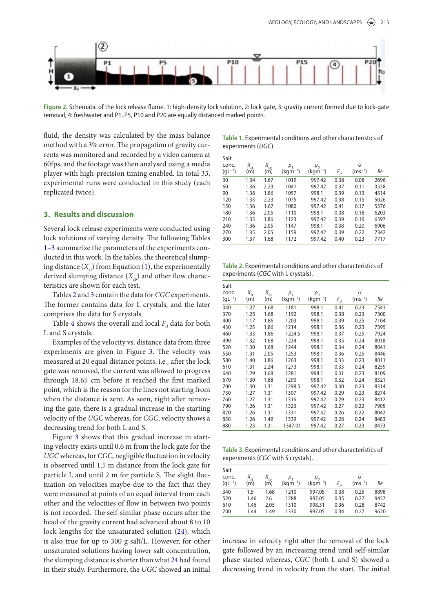

<span id="page-3-0"></span>**Figure 2.** Schematic of the lock release flume. 1: high-density lock solution, 2: lock gate, 3: gravity current formed due to lock-gate removal, 4: freshwater and P1, P5, P10 and P20 are equally distanced marked points.

fluid, the density was calculated by the mass balance method with a 3% error. The propagation of gravity currents was monitored and recorded by a video camera at 60fps, and the footage was then analysed using a media player with high-precision timing enabled. In total 33, experimental runs were conducted in this study (each replicated twice).

### **3. Results and discussion**

Several lock release experiments were conducted using lock solutions of varying density. The following Tables 1–3 summarize the parameters of the experiments conducted in this work. In the tables, the theoretical slumping distance  $(X_{\mu})$  from Equation [\(1](#page-1-2)), the experimentally derived slumping distance  $(X_{\varsigma_p})$  and other flow characteristics are shown for each test.

Tables [2](#page-3-1) and [3](#page-3-2) contain the data for *CGC* experiments. The former contains data for L crystals, and the later comprises the data for S crystals.

Table [4](#page-4-0) shows the overall and local  $F_d$  data for both L and S crystals.

Examples of the velocity vs. distance data from three experiments are given in Figure [3.](#page-4-1) The velocity was measured at 20 equal distance points, i.e*.,* after the lock gate was removed, the current was allowed to progress through 18.65 cm before it reached the first marked point, which is the reason for the lines not starting from when the distance is zero. As seen, right after removing the gate, there is a gradual increase in the starting velocity of the *UGC* whereas, for *CGC*, velocity shows a decreasing trend for both L and S.

Figure [3](#page-4-1) shows that this gradual increase in starting velocity exists until 0.6 m from the lock gate for the *UGC* whereas, for *CGC*, negligible fluctuation in velocity is observed until 1.5 m distance from the lock gate for particle L and until 2 m for particle S. The slight fluctuation on velocities maybe due to the fact that they were measured at points of an equal interval from each other and the velocities of flow in between two points is not recorded. The self-similar phase occurs after the head of the gravity current had advanced about 8 to 10 lock lengths for the unsaturated solution ([24\)](#page-6-14), which is also true for up to 300 g salt/L. However, for other unsaturated solutions having lower salt concentration, the slumping distance is shorter than what [24](#page-6-14) had found in their study. Furthermore, the *UGC* showed an initial

**Table 1.** Experimental conditions and other characteristics of experiments (*UGC*).

| Salt<br>conc. | $X_{st}$ | $X_{sp}$ | ρ,           | $\rho_{\scriptscriptstyle\alpha}$ |       | U           |      |
|---------------|----------|----------|--------------|-----------------------------------|-------|-------------|------|
| $(gL^{-1})$   | (m)      | (m)      | $(kgm^{-3})$ | $(kgm-3)$                         | $F_d$ | $(ms^{-1})$ | Re   |
| 30            | 1.34     | 1.67     | 1019         | 997.42                            | 0.38  | 0.08        | 2696 |
| 60            | 1.36     | 2.23     | 1041         | 997.42                            | 0.37  | 0.11        | 3558 |
| 90            | 1.36     | 1.86     | 1057         | 998.1                             | 0.39  | 0.13        | 4514 |
| 120           | 1.33     | 2.23     | 1075         | 997.42                            | 0.38  | 0.15        | 5026 |
| 150           | 1.36     | 1.67     | 1080         | 997.42                            | 0.41  | 0.17        | 5576 |
| 180           | 1.36     | 2.05     | 1110         | 998.1                             | 0.38  | 0.18        | 6203 |
| 210           | 1.35     | 1.86     | 1123         | 997.42                            | 0.39  | 0.19        | 6597 |
| 240           | 1.36     | 2.05     | 1147         | 998.1                             | 0.38  | 0.20        | 6906 |
| 270           | 1.35     | 2.05     | 1159         | 997.42                            | 0.39  | 0.22        | 7342 |
| 300           | 1.37     | 1.68     | 1172         | 997.42                            | 0.40  | 0.23        | 7717 |

<span id="page-3-1"></span>**Table 2.** Experimental conditions and other characteristics of experiments (*CGC* with L crystals).

| Salt        |          |          |              |              |       |             |      |
|-------------|----------|----------|--------------|--------------|-------|-------------|------|
| conc.       | $X_{st}$ | $X_{sp}$ | $\rho_{1}$   | $\rho_{o}$   |       | U           |      |
| $(gL^{-1})$ | (m)      | (m)      | $(kgm^{-3})$ | $(kgm^{-3})$ | $F_d$ | $(ms^{-1})$ | Re   |
| 340         | 1.27     | 1.68     | 1181         | 998.1        | 0.41  | 0.23        | 7541 |
| 370         | 1.25     | 1.68     | 1192         | 998.1        | 0.38  | 0.23        | 7300 |
| 400         | 1.17     | 1.86     | 1203         | 998.1        | 0.39  | 0.25        | 7104 |
| 430         | 1.25     | 1.86     | 1214         | 998.1        | 0.36  | 0.23        | 7395 |
| 460         | 1.33     | 1.86     | 1224.5       | 998.1        | 0.37  | 0.25        | 7924 |
| 490         | 1.32     | 1.68     | 1234         | 998.1        | 0.35  | 0.24        | 8018 |
| 520         | 1.30     | 1.68     | 1244         | 998.1        | 0.34  | 0.24        | 8041 |
| 550         | 1.31     | 2.05     | 1253         | 998.1        | 0.36  | 0.25        | 8446 |
| 580         | 1.40     | 1.86     | 1263         | 998.1        | 0.33  | 0.23        | 8011 |
| 610         | 1.31     | 2.24     | 1273         | 998.1        | 0.33  | 0.24        | 8259 |
| 640         | 1.29     | 1.68     | 1281         | 998.1        | 0.31  | 0.23        | 8109 |
| 670         | 1.30     | 1.68     | 1290         | 998.1        | 0.32  | 0.24        | 8321 |
| 700         | 1.30     | 1.31     | 1298.5       | 997.42       | 0.30  | 0.23        | 8314 |
| 730         | 1.27     | 1.31     | 1307         | 997.42       | 0.29  | 0.23        | 8274 |
| 760         | 1.27     | 1.31     | 1316         | 997.42       | 0.29  | 0.23        | 8412 |
| 790         | 1.26     | 1.31     | 1323         | 997.42       | 0.27  | 0.22        | 7905 |
| 820         | 1.26     | 1.31     | 1331         | 997.42       | 0.26  | 0.22        | 8042 |
| 850         | 1.26     | 1.49     | 1339         | 997.42       | 0.28  | 0.24        | 8483 |
| 880         | 1.23     | 1.31     | 1347.01      | 997.42       | 0.27  | 0.23        | 8473 |

<span id="page-3-2"></span>**Table 3.** Experimental conditions and other characteristics of experiments (*CGC* with S crystals).

|      |      | ρ,             |              |            | U           |      |
|------|------|----------------|--------------|------------|-------------|------|
| (m)  | (m)  | $(kqm^{-3})$   | $(kqm^{-3})$ |            | $(ms^{-1})$ | Re   |
| 1.5  | 1.68 | 1210           | 997.05       | 0.38       | 0.25        | 8898 |
| 1.46 | 2.6  | 1288           | 997.05       | 0.35       | 0.27        | 9457 |
| 1.46 | 2.05 | 1310           | 998.31       | 0.36       | 0.28        | 8742 |
| 1.44 | 1.49 | 1330           | 997.05       | 0.34       | 0.27        | 9620 |
|      |      | $\Lambda_{sp}$ |              | $\rho_{o}$ |             |      |

increase in velocity right after the removal of the lock gate followed by an increasing trend until self-similar phase started whereas, *CGC* (both L and S) showed a decreasing trend in velocity from the start. The initial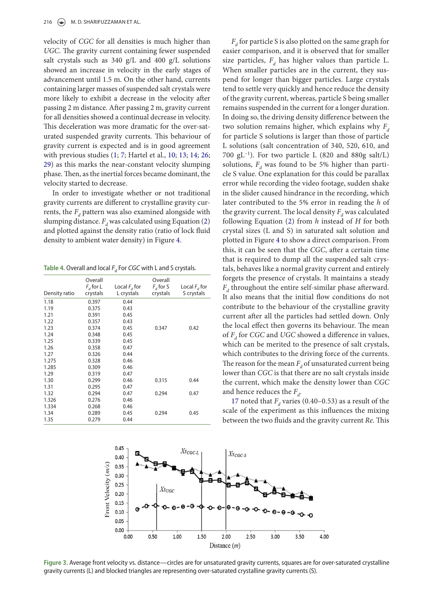velocity of *CGC* for all densities is much higher than *UGC*. The gravity current containing fewer suspended salt crystals such as 340 g/L and 400 g/L solutions showed an increase in velocity in the early stages of advancement until 1.5 m. On the other hand, currents containing larger masses of suspended salt crystals were more likely to exhibit a decrease in the velocity after passing 2 m distance. After passing 2 m, gravity current for all densities showed a continual decrease in velocity. This deceleration was more dramatic for the over-saturated suspended gravity currents. This behaviour of gravity current is expected and is in good agreement with previous studies ([1;](#page-6-6) [7](#page-6-18); Hartel et al., [10;](#page-6-21) [13](#page-6-26); [14](#page-6-11); [26;](#page-6-15) [29](#page-6-27)) as this marks the near-constant velocity slumping phase. Then, as the inertial forces became dominant, the velocity started to decrease.

<span id="page-4-2"></span>In order to investigate whether or not traditional gravity currents are different to crystalline gravity currents, the  $F_d$  pattern was also examined alongside with slumping distance.  $F_d$  was calculated using Equation [\(2\)](#page-2-1) and plotted against the density ratio (ratio of lock fluid density to ambient water density) in Figure [4](#page-5-0).

<span id="page-4-0"></span>Table 4. Overall and local *F<sub>d</sub>* For *CGC* with L and S crystals.

| Density ratio | Overall<br>$F_{d}$ for L<br>crystals | Local $F_d$ for<br>L crystals | Overall<br>$F_{d}$ for S<br>crystals | Local $Fd$ for<br>S crystals |
|---------------|--------------------------------------|-------------------------------|--------------------------------------|------------------------------|
| 1.18          | 0.397                                | 0.44                          |                                      |                              |
| 1.19          | 0.375                                | 0.43                          |                                      |                              |
| 1.21          | 0.391                                | 0.45                          |                                      |                              |
| 1.22          | 0.357                                | 0.43                          |                                      |                              |
| 1.23          | 0.374                                | 0.45                          | 0.347                                | 0.42                         |
| 1.24          | 0.348                                | 0.45                          |                                      |                              |
| 1.25          | 0.339                                | 0.45                          |                                      |                              |
| 1.26          | 0.358                                | 0.47                          |                                      |                              |
| 1.27          | 0.326                                | 0.44                          |                                      |                              |
| 1.275         | 0.328                                | 0.46                          |                                      |                              |
| 1.285         | 0.309                                | 0.46                          |                                      |                              |
| 1.29          | 0.319                                | 0.47                          |                                      |                              |
| 1.30          | 0.299                                | 0.46                          | 0.315                                | 0.44                         |
| 1.31          | 0.295                                | 0.47                          |                                      |                              |
| 1.32          | 0.294                                | 0.47                          | 0.294                                | 0.47                         |
| 1.326         | 0.276                                | 0.46                          |                                      |                              |
| 1.334         | 0.268                                | 0.46                          |                                      |                              |
| 1.34          | 0.289                                | 0.45                          | 0.294                                | 0.45                         |
| 1.35          | 0.279                                | 0.44                          |                                      |                              |

<span id="page-4-3"></span> $F_d$  for particle S is also plotted on the same graph for easier comparison, and it is observed that for smaller size particles,  $F<sub>d</sub>$  has higher values than particle L. When smaller particles are in the current, they suspend for longer than bigger particles. Large crystals tend to settle very quickly and hence reduce the density of the gravity current, whereas, particle S being smaller remains suspended in the current for a longer duration. In doing so, the driving density difference between the two solution remains higher, which explains why  $F_d$ for particle S solutions is larger than those of particle L solutions (salt concentration of 340, 520, 610, and 700 gL−1). For two particle L (820 and 880g salt/L) solutions,  $F_d$  was found to be 5% higher than particle S value. One explanation for this could be parallax error while recording the video footage, sudden shake in the slider caused hindrance in the recording, which later contributed to the 5% error in reading the *h* of the gravity current. The local density  $F_d$  was calculated following Equation [\(2](#page-2-1)) from *h* instead of *H* for both crystal sizes (L and S) in saturated salt solution and plotted in Figure [4](#page-5-0) to show a direct comparison. From this, it can be seen that the *CGC*, after a certain time that is required to dump all the suspended salt crystals, behaves like a normal gravity current and entirely forgets the presence of crystals. It maintains a steady  $F<sub>d</sub>$  throughout the entire self-similar phase afterward. It also means that the initial flow conditions do not contribute to the behaviour of the crystalline gravity current after all the particles had settled down. Only the local effect then governs its behaviour. The mean of  $F<sub>d</sub>$  for *CGC* and *UGC* showed a difference in values, which can be merited to the presence of salt crystals, which contributes to the driving force of the currents. The reason for the mean  $F_d$  of unsaturated current being lower than *CGC* is that there are no salt crystals inside the current, which make the density lower than *CGC* and hence reduces the  $F_d$ .

[17](#page-6-3) noted that  $F<sub>d</sub>$  varies (0.40–0.53) as a result of the scale of the experiment as this influences the mixing between the two fluids and the gravity current *Re*. This



<span id="page-4-1"></span>**Figure 3.** Average front velocity vs. distance—circles are for unsaturated gravity currents, squares are for over-saturated crystalline gravity currents (L) and blocked triangles are representing over-saturated crystalline gravity currents (S).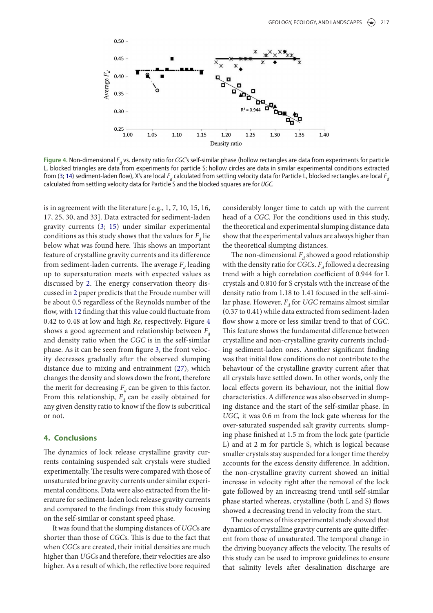

<span id="page-5-3"></span><span id="page-5-0"></span>**Figure 4.** Non-dimensional *Fd* vs. density ratio for *CGC*'s self-similar phase (hollow rectangles are data from experiments for particle L, blocked triangles are data from experiments for particle S; hollow circles are data in similar experimental conditions extracted from [\(3;](#page-6-28) [14](#page-6-11)) sediment-laden flow), X's are local *Fd* calculated from settling velocity data for Particle L, blocked rectangles are local *F<sup>d</sup>* calculated from settling velocity data for Particle S and the blocked squares are for *UGC.*

is in agreement with the literature [e.g., 1, 7, 10, 15, 16, 17, 25, 30, and 33]. Data extracted for sediment-laden gravity currents ([3;](#page-6-28) [15](#page-6-2)) under similar experimental conditions as this study shows that the values for  $F<sub>a</sub>$  lie below what was found here. This shows an important feature of crystalline gravity currents and its difference from sediment-laden currents. The average  $F<sub>a</sub>$  leading up to supersaturation meets with expected values as discussed by [2.](#page-6-29) The energy conservation theory discussed in [2](#page-6-29) paper predicts that the Froude number will be about 0.5 regardless of the Reynolds number of the flow, with [12](#page-6-10) finding that this value could fluctuate from 0.42 to 0.48 at low and high *Re,* respectively. Figure [4](#page-5-0) shows a good agreement and relationship between  $F_d$ and density ratio when the *CGC* is in the self-similar phase. As it can be seen from figure [3,](#page-4-1) the front velocity decreases gradually after the observed slumping distance due to mixing and entrainment [\(27](#page-6-17)), which changes the density and slows down the front, therefore the merit for decreasing  $F_d$  can be given to this factor. From this relationship,  $F<sub>d</sub>$  can be easily obtained for any given density ratio to know if the flow is subcritical or not.

## **4. Conclusions**

The dynamics of lock release crystalline gravity currents containing suspended salt crystals were studied experimentally. The results were compared with those of unsaturated brine gravity currents under similar experimental conditions. Data were also extracted from the literature for sediment-laden lock release gravity currents and compared to the findings from this study focusing on the self-similar or constant speed phase.

It was found that the slumping distances of *UGC*s are shorter than those of *CGC*s. This is due to the fact that when *CGC*s are created, their initial densities are much higher than *UGC*s and therefore, their velocities are also higher. As a result of which, the reflective bore required <span id="page-5-1"></span>considerably longer time to catch up with the current head of a *CGC*. For the conditions used in this study, the theoretical and experimental slumping distance data show that the experimental values are always higher than the theoretical slumping distances.

<span id="page-5-2"></span>The non-dimensional  $F_d$  showed a good relationship with the density ratio for *CGCs*.  $F_d$  followed a decreasing trend with a high correlation coefficient of 0.944 for L crystals and 0.810 for S crystals with the increase of the density ratio from 1.18 to 1.41 focused in the self-similar phase. However,  $F_d$  for *UGC* remains almost similar (0.37 to 0.41) while data extracted from sediment-laden flow show a more or less similar trend to that of *CGC*. This feature shows the fundamental difference between crystalline and non-crystalline gravity currents including sediment-laden ones. Another significant finding was that initial flow conditions do not contribute to the behaviour of the crystalline gravity current after that all crystals have settled down. In other words, only the local effects govern its behaviour, not the initial flow characteristics. A difference was also observed in slumping distance and the start of the self-similar phase. In *UGC,* it was 0.6 m from the lock gate whereas for the over-saturated suspended salt gravity currents, slumping phase finished at 1.5 m from the lock gate (particle L) and at 2 m for particle S, which is logical because smaller crystals stay suspended for a longer time thereby accounts for the excess density difference. In addition, the non-crystalline gravity current showed an initial increase in velocity right after the removal of the lock gate followed by an increasing trend until self-similar phase started whereas, crystalline (both L and S) flows showed a decreasing trend in velocity from the start.

The outcomes of this experimental study showed that dynamics of crystalline gravity currents are quite different from those of unsaturated. The temporal change in the driving buoyancy affects the velocity. The results of this study can be used to improve guidelines to ensure that salinity levels after desalination discharge are